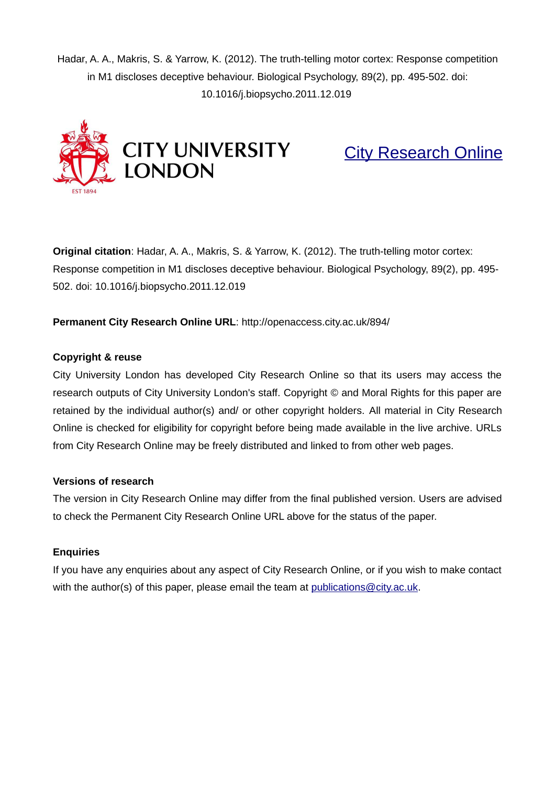Hadar, A. A., Makris, S. & Yarrow, K. (2012). The truth-telling motor cortex: Response competition in M1 discloses deceptive behaviour. Biological Psychology, 89(2), pp. 495-502. doi: 10.1016/j.biopsycho.2011.12.019



[City Research Online](http://openaccess.city.ac.uk/)

**Original citation**: Hadar, A. A., Makris, S. & Yarrow, K. (2012). The truth-telling motor cortex: Response competition in M1 discloses deceptive behaviour. Biological Psychology, 89(2), pp. 495- 502. doi: 10.1016/j.biopsycho.2011.12.019

# **Permanent City Research Online URL**: http://openaccess.city.ac.uk/894/

#### **Copyright & reuse**

City University London has developed City Research Online so that its users may access the research outputs of City University London's staff. Copyright © and Moral Rights for this paper are retained by the individual author(s) and/ or other copyright holders. All material in City Research Online is checked for eligibility for copyright before being made available in the live archive. URLs from City Research Online may be freely distributed and linked to from other web pages.

#### **Versions of research**

The version in City Research Online may differ from the final published version. Users are advised to check the Permanent City Research Online URL above for the status of the paper.

#### **Enquiries**

If you have any enquiries about any aspect of City Research Online, or if you wish to make contact with the author(s) of this paper, please email the team at [publications@city.ac.uk.](mailto:publications@city.ac.uk)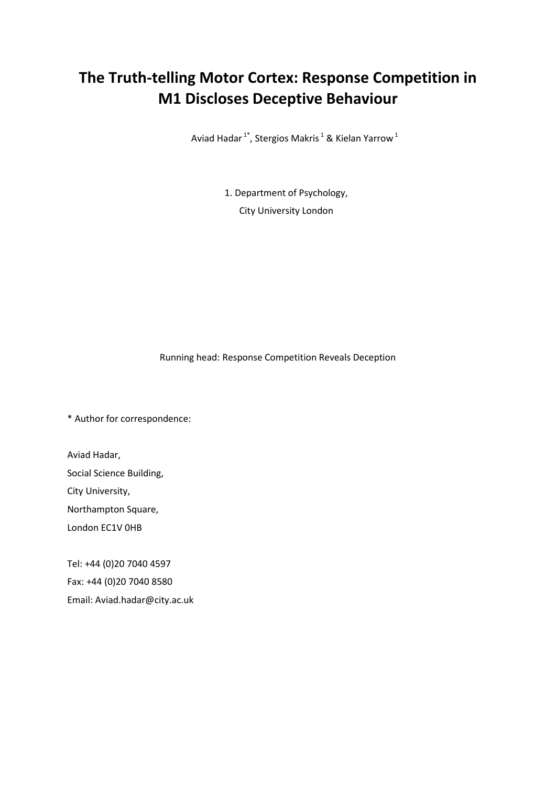# **The Truth-telling Motor Cortex: Response Competition in M1 Discloses Deceptive Behaviour**

Aviad Hadar<sup>1\*</sup>, Stergios Makris<sup>1</sup> & Kielan Yarrow<sup>1</sup>

1. Department of Psychology, City University London

Running head: Response Competition Reveals Deception

\* Author for correspondence:

Aviad Hadar, Social Science Building, City University, Northampton Square, London EC1V 0HB

Tel: +44 (0)20 7040 4597 Fax: +44 (0)20 7040 8580 Email: Aviad.hadar@city.ac.uk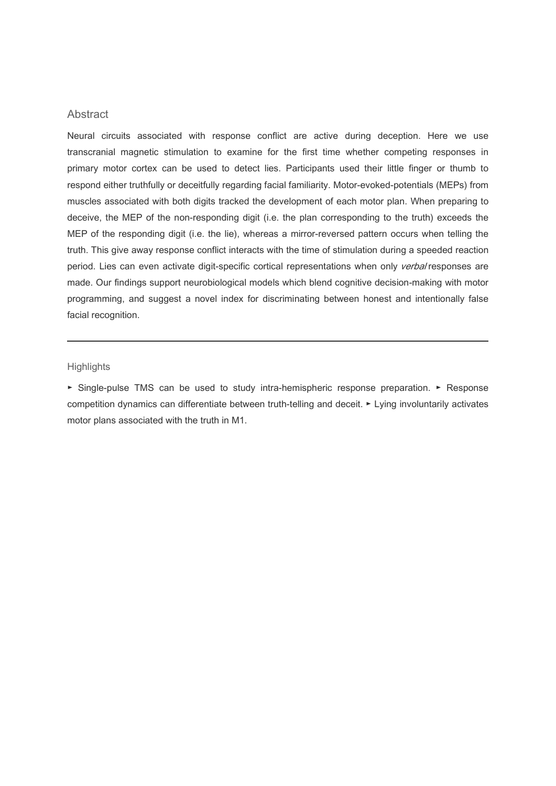#### **Abstract**

Neural circuits associated with response conflict are active during deception. Here we use transcranial magnetic stimulation to examine for the first time whether competing responses in primary motor cortex can be used to detect lies. Participants used their little finger or thumb to respond either truthfully or deceitfully regarding facial familiarity. Motor-evoked-potentials (MEPs) from muscles associated with both digits tracked the development of each motor plan. When preparing to deceive, the MEP of the non-responding digit (i.e. the plan corresponding to the truth) exceeds the MEP of the responding digit (i.e. the lie), whereas a mirror-reversed pattern occurs when telling the truth. This give away response conflict interacts with the time of stimulation during a speeded reaction period. Lies can even activate digit-specific cortical representations when only verbal responses are made. Our findings support neurobiological models which blend cognitive decision-making with motor programming, and suggest a novel index for discriminating between honest and intentionally false facial recognition.

#### **Highlights**

► Single-pulse TMS can be used to study intra-hemispheric response preparation. ► Response competition dynamics can differentiate between truth-telling and deceit. ► Lying involuntarily activates motor plans associated with the truth in M1.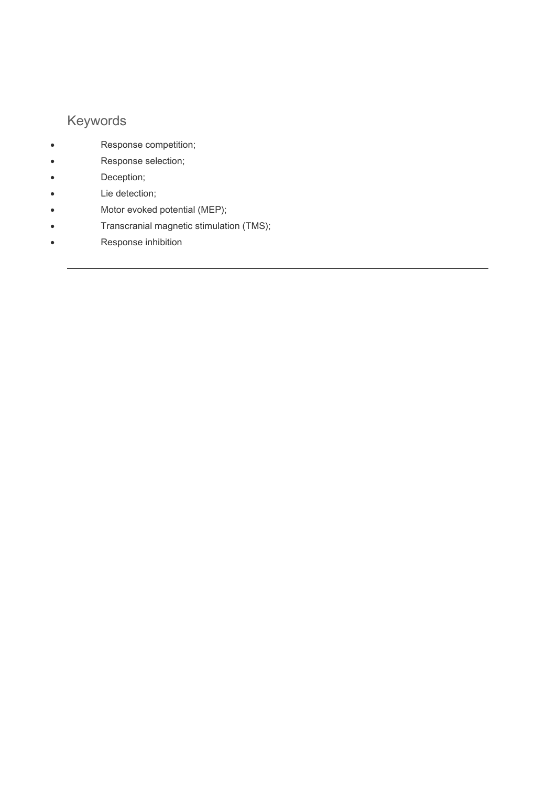# Keywords

- Response competition;
- Response selection;
- Deception;
- Lie detection;
- Motor evoked potential (MEP);
- Transcranial magnetic stimulation (TMS);
- Response inhibition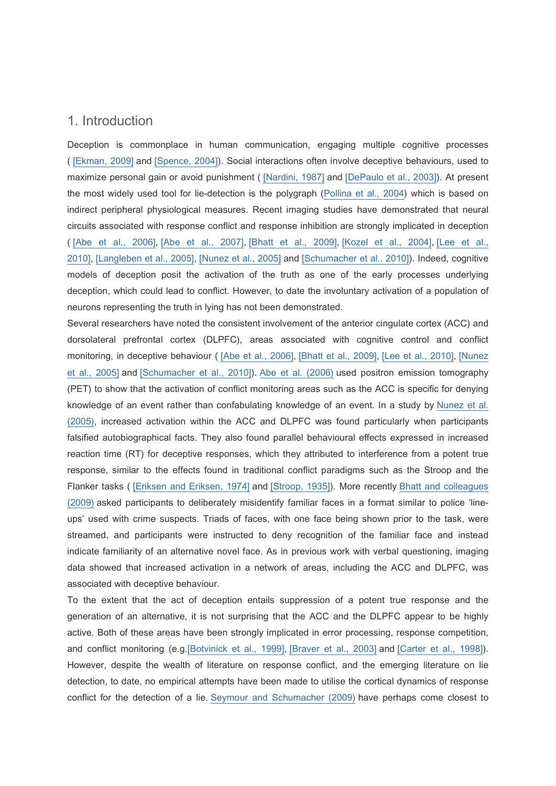# 1. Introduction

Deception is commonplace in human communication, engaging multiple cognitive processes ( [Ekman, 2009] and [Spence, 2004]). Social interactions often involve deceptive behaviours, used to maximize personal gain or avoid punishment ( [Nardini, 1987] and [DePaulo et al., 2003]). At present the most widely used tool for lie-detection is the polygraph (Pollina et al., 2004) which is based on indirect peripheral physiological measures. Recent imaging studies have demonstrated that neural circuits associated with response conflict and response inhibition are strongly implicated in deception ( [Abe et al., 2006], [Abe et al., 2007], [Bhatt et al., 2009], [Kozel et al., 2004], [Lee et al., 2010], [Langleben et al., 2005], [Nunez et al., 2005] and [Schumacher et al., 2010]). Indeed, cognitive models of deception posit the activation of the truth as one of the early processes underlying deception, which could lead to conflict. However, to date the involuntary activation of a population of neurons representing the truth in lying has not been demonstrated.

Several researchers have noted the consistent involvement of the anterior cingulate cortex (ACC) and dorsolateral prefrontal cortex (DLPFC), areas associated with cognitive control and conflict monitoring, in deceptive behaviour ( [Abe et al., 2006], [Bhatt et al., 2009], [Lee et al., 2010], [Nunez et al., 2005] and [Schumacher et al., 2010]). Abe et al. (2006) used positron emission tomography (PET) to show that the activation of conflict monitoring areas such as the ACC is specific for denying knowledge of an event rather than confabulating knowledge of an event. In a study by Nunez et al. (2005), increased activation within the ACC and DLPFC was found particularly when participants falsified autobiographical facts. They also found parallel behavioural effects expressed in increased reaction time (RT) for deceptive responses, which they attributed to interference from a potent true response, similar to the effects found in traditional conflict paradigms such as the Stroop and the Flanker tasks ( [Eriksen and Eriksen, 1974] and [Stroop, 1935]). More recently Bhatt and colleagues (2009) asked participants to deliberately misidentify familiar faces in a format similar to police 'lineups' used with crime suspects. Triads of faces, with one face being shown prior to the task, were streamed, and participants were instructed to deny recognition of the familiar face and instead indicate familiarity of an alternative novel face. As in previous work with verbal questioning, imaging data showed that increased activation in a network of areas, including the ACC and DLPFC, was associated with deceptive behaviour.

To the extent that the act of deception entails suppression of a potent true response and the generation of an alternative, it is not surprising that the ACC and the DLPFC appear to be highly active. Both of these areas have been strongly implicated in error processing, response competition, and conflict monitoring (e.g.[Botvinick et al., 1999], [Braver et al., 2003] and [Carter et al., 1998]). However, despite the wealth of literature on response conflict, and the emerging literature on lie detection, to date, no empirical attempts have been made to utilise the cortical dynamics of response conflict for the detection of a lie. Seymour and Schumacher (2009) have perhaps come closest to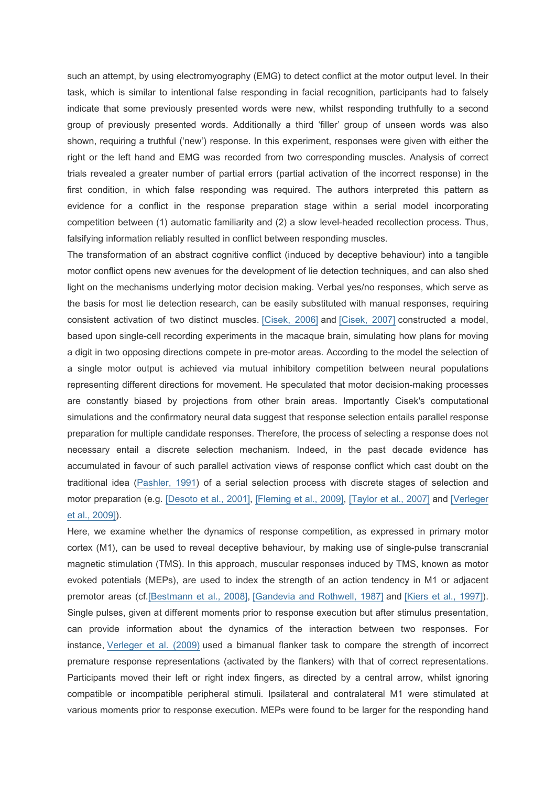such an attempt, by using electromyography (EMG) to detect conflict at the motor output level. In their task, which is similar to intentional false responding in facial recognition, participants had to falsely indicate that some previously presented words were new, whilst responding truthfully to a second group of previously presented words. Additionally a third 'filler' group of unseen words was also shown, requiring a truthful ('new') response. In this experiment, responses were given with either the right or the left hand and EMG was recorded from two corresponding muscles. Analysis of correct trials revealed a greater number of partial errors (partial activation of the incorrect response) in the first condition, in which false responding was required. The authors interpreted this pattern as evidence for a conflict in the response preparation stage within a serial model incorporating competition between (1) automatic familiarity and (2) a slow level-headed recollection process. Thus, falsifying information reliably resulted in conflict between responding muscles.

The transformation of an abstract cognitive conflict (induced by deceptive behaviour) into a tangible motor conflict opens new avenues for the development of lie detection techniques, and can also shed light on the mechanisms underlying motor decision making. Verbal yes/no responses, which serve as the basis for most lie detection research, can be easily substituted with manual responses, requiring consistent activation of two distinct muscles. [Cisek, 2006] and [Cisek, 2007] constructed a model, based upon single-cell recording experiments in the macaque brain, simulating how plans for moving a digit in two opposing directions compete in pre-motor areas. According to the model the selection of a single motor output is achieved via mutual inhibitory competition between neural populations representing different directions for movement. He speculated that motor decision-making processes are constantly biased by projections from other brain areas. Importantly Cisek's computational simulations and the confirmatory neural data suggest that response selection entails parallel response preparation for multiple candidate responses. Therefore, the process of selecting a response does not necessary entail a discrete selection mechanism. Indeed, in the past decade evidence has accumulated in favour of such parallel activation views of response conflict which cast doubt on the traditional idea (Pashler, 1991) of a serial selection process with discrete stages of selection and motor preparation (e.g. [Desoto et al., 2001], [Fleming et al., 2009], [Taylor et al., 2007] and [Verleger et al., 2009]).

Here, we examine whether the dynamics of response competition, as expressed in primary motor cortex (M1), can be used to reveal deceptive behaviour, by making use of single-pulse transcranial magnetic stimulation (TMS). In this approach, muscular responses induced by TMS, known as motor evoked potentials (MEPs), are used to index the strength of an action tendency in M1 or adjacent premotor areas (cf.[Bestmann et al., 2008], [Gandevia and Rothwell, 1987] and [Kiers et al., 1997]). Single pulses, given at different moments prior to response execution but after stimulus presentation, can provide information about the dynamics of the interaction between two responses. For instance, Verleger et al. (2009) used a bimanual flanker task to compare the strength of incorrect premature response representations (activated by the flankers) with that of correct representations. Participants moved their left or right index fingers, as directed by a central arrow, whilst ignoring compatible or incompatible peripheral stimuli. Ipsilateral and contralateral M1 were stimulated at various moments prior to response execution. MEPs were found to be larger for the responding hand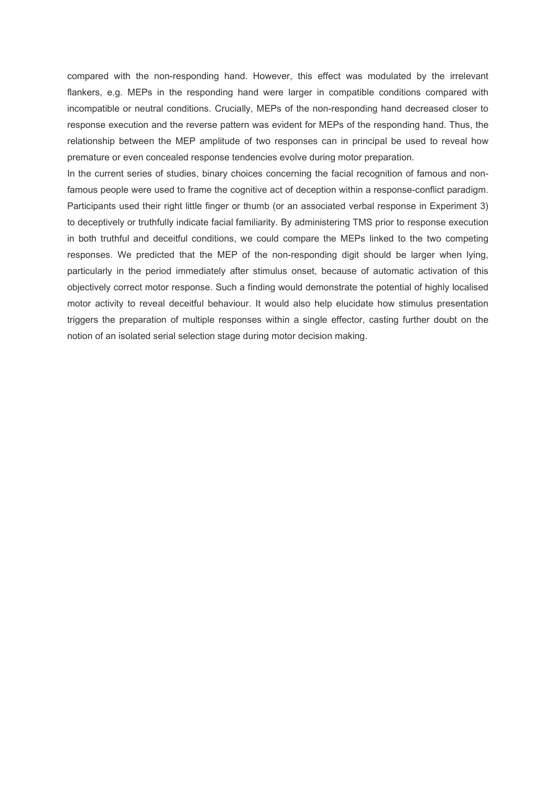compared with the non-responding hand. However, this effect was modulated by the irrelevant flankers, e.g. MEPs in the responding hand were larger in compatible conditions compared with incompatible or neutral conditions. Crucially, MEPs of the non-responding hand decreased closer to response execution and the reverse pattern was evident for MEPs of the responding hand. Thus, the relationship between the MEP amplitude of two responses can in principal be used to reveal how premature or even concealed response tendencies evolve during motor preparation.

In the current series of studies, binary choices concerning the facial recognition of famous and nonfamous people were used to frame the cognitive act of deception within a response-conflict paradigm. Participants used their right little finger or thumb (or an associated verbal response in Experiment 3) to deceptively or truthfully indicate facial familiarity. By administering TMS prior to response execution in both truthful and deceitful conditions, we could compare the MEPs linked to the two competing responses. We predicted that the MEP of the non-responding digit should be larger when lying, particularly in the period immediately after stimulus onset, because of automatic activation of this objectively correct motor response. Such a finding would demonstrate the potential of highly localised motor activity to reveal deceitful behaviour. It would also help elucidate how stimulus presentation triggers the preparation of multiple responses within a single effector, casting further doubt on the notion of an isolated serial selection stage during motor decision making.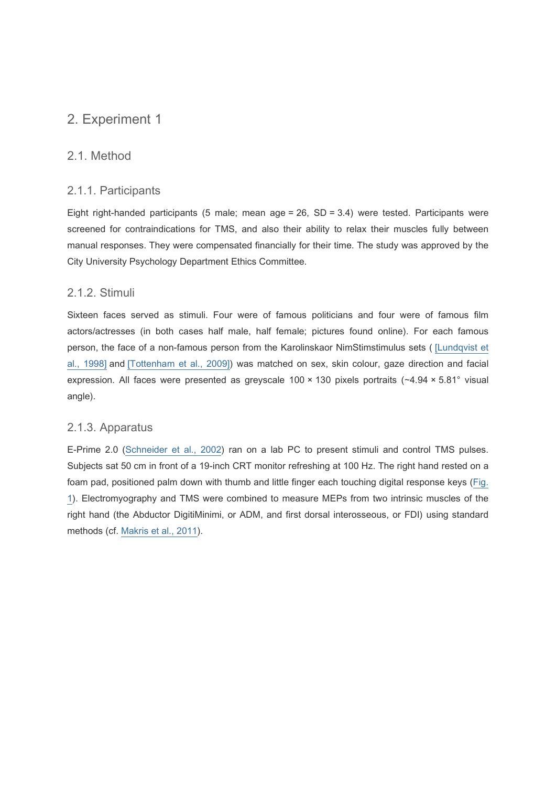# 2. Experiment 1

# 2.1. Method

#### 2.1.1. Participants

Eight right-handed participants (5 male; mean age = 26, SD = 3.4) were tested. Participants were screened for contraindications for TMS, and also their ability to relax their muscles fully between manual responses. They were compensated financially for their time. The study was approved by the City University Psychology Department Ethics Committee.

### 2.1.2. Stimuli

Sixteen faces served as stimuli. Four were of famous politicians and four were of famous film actors/actresses (in both cases half male, half female; pictures found online). For each famous person, the face of a non-famous person from the Karolinskaor NimStimstimulus sets ( [Lundqvist et al., 1998] and [Tottenham et al., 2009]) was matched on sex, skin colour, gaze direction and facial expression. All faces were presented as greyscale 100 × 130 pixels portraits (∼4.94 × 5.81° visual angle).

## 2.1.3. Apparatus

E-Prime 2.0 (Schneider et al., 2002) ran on a lab PC to present stimuli and control TMS pulses. Subjects sat 50 cm in front of a 19-inch CRT monitor refreshing at 100 Hz. The right hand rested on a foam pad, positioned palm down with thumb and little finger each touching digital response keys (Fig. 1). Electromyography and TMS were combined to measure MEPs from two intrinsic muscles of the right hand (the Abductor DigitiMinimi, or ADM, and first dorsal interosseous, or FDI) using standard methods (cf. Makris et al., 2011).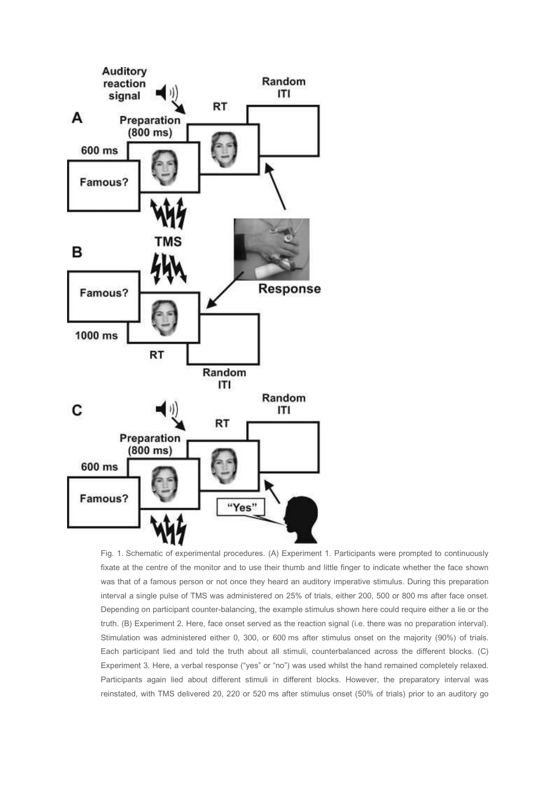

Fig. 1. Schematic of experimental procedures. (A) Experiment 1. Participants were prompted to continuously fixate at the centre of the monitor and to use their thumb and little finger to indicate whether the face shown was that of a famous person or not once they heard an auditory imperative stimulus. During this preparation interval a single pulse of TMS was administered on 25% of trials, either 200, 500 or 800 ms after face onset. Depending on participant counter-balancing, the example stimulus shown here could require either a lie or the truth. (B) Experiment 2. Here, face onset served as the reaction signal (i.e. there was no preparation interval). Stimulation was administered either 0, 300, or 600 ms after stimulus onset on the majority (90%) of trials. Each participant lied and told the truth about all stimuli, counterbalanced across the different blocks. (C) Experiment 3. Here, a verbal response ("yes" or "no") was used whilst the hand remained completely relaxed. Participants again lied about different stimuli in different blocks. However, the preparatory interval was reinstated, with TMS delivered 20, 220 or 520 ms after stimulus onset (50% of trials) prior to an auditory go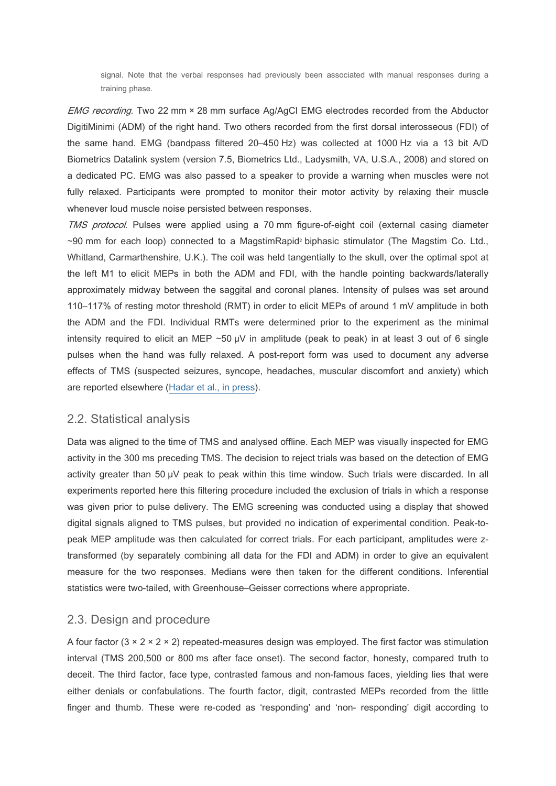signal. Note that the verbal responses had previously been associated with manual responses during a training phase.

EMG recording. Two 22 mm × 28 mm surface Ag/AgCl EMG electrodes recorded from the Abductor DigitiMinimi (ADM) of the right hand. Two others recorded from the first dorsal interosseous (FDI) of the same hand. EMG (bandpass filtered 20–450 Hz) was collected at 1000 Hz via a 13 bit A/D Biometrics Datalink system (version 7.5, Biometrics Ltd., Ladysmith, VA, U.S.A., 2008) and stored on a dedicated PC. EMG was also passed to a speaker to provide a warning when muscles were not fully relaxed. Participants were prompted to monitor their motor activity by relaxing their muscle whenever loud muscle noise persisted between responses.

TMS protocol. Pulses were applied using a 70 mm figure-of-eight coil (external casing diameter ∼90 mm for each loop) connected to a MagstimRapid2 biphasic stimulator (The Magstim Co. Ltd., Whitland, Carmarthenshire, U.K.). The coil was held tangentially to the skull, over the optimal spot at the left M1 to elicit MEPs in both the ADM and FDI, with the handle pointing backwards/laterally approximately midway between the saggital and coronal planes. Intensity of pulses was set around 110–117% of resting motor threshold (RMT) in order to elicit MEPs of around 1 mV amplitude in both the ADM and the FDI. Individual RMTs were determined prior to the experiment as the minimal intensity required to elicit an MEP ∼50 μV in amplitude (peak to peak) in at least 3 out of 6 single pulses when the hand was fully relaxed. A post-report form was used to document any adverse effects of TMS (suspected seizures, syncope, headaches, muscular discomfort and anxiety) which are reported elsewhere (Hadar et al., in press).

#### 2.2. Statistical analysis

Data was aligned to the time of TMS and analysed offline. Each MEP was visually inspected for EMG activity in the 300 ms preceding TMS. The decision to reject trials was based on the detection of EMG activity greater than 50 μV peak to peak within this time window. Such trials were discarded. In all experiments reported here this filtering procedure included the exclusion of trials in which a response was given prior to pulse delivery. The EMG screening was conducted using a display that showed digital signals aligned to TMS pulses, but provided no indication of experimental condition. Peak-topeak MEP amplitude was then calculated for correct trials. For each participant, amplitudes were ztransformed (by separately combining all data for the FDI and ADM) in order to give an equivalent measure for the two responses. Medians were then taken for the different conditions. Inferential statistics were two-tailed, with Greenhouse–Geisser corrections where appropriate.

#### 2.3. Design and procedure

A four factor  $(3 \times 2 \times 2 \times 2)$  repeated-measures design was employed. The first factor was stimulation interval (TMS 200,500 or 800 ms after face onset). The second factor, honesty, compared truth to deceit. The third factor, face type, contrasted famous and non-famous faces, yielding lies that were either denials or confabulations. The fourth factor, digit, contrasted MEPs recorded from the little finger and thumb. These were re-coded as 'responding' and 'non- responding' digit according to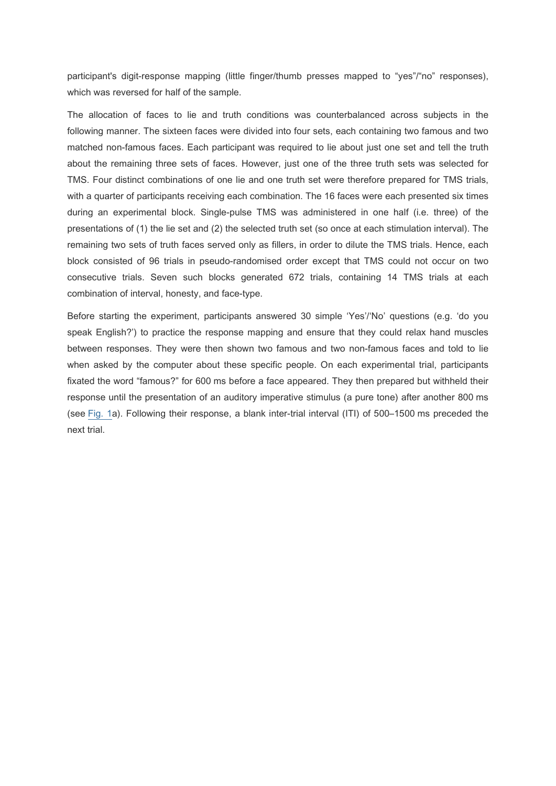participant's digit-response mapping (little finger/thumb presses mapped to "yes"/"no" responses), which was reversed for half of the sample.

The allocation of faces to lie and truth conditions was counterbalanced across subjects in the following manner. The sixteen faces were divided into four sets, each containing two famous and two matched non-famous faces. Each participant was required to lie about just one set and tell the truth about the remaining three sets of faces. However, just one of the three truth sets was selected for TMS. Four distinct combinations of one lie and one truth set were therefore prepared for TMS trials, with a quarter of participants receiving each combination. The 16 faces were each presented six times during an experimental block. Single-pulse TMS was administered in one half (i.e. three) of the presentations of (1) the lie set and (2) the selected truth set (so once at each stimulation interval). The remaining two sets of truth faces served only as fillers, in order to dilute the TMS trials. Hence, each block consisted of 96 trials in pseudo-randomised order except that TMS could not occur on two consecutive trials. Seven such blocks generated 672 trials, containing 14 TMS trials at each combination of interval, honesty, and face-type.

Before starting the experiment, participants answered 30 simple 'Yes'/'No' questions (e.g. 'do you speak English?') to practice the response mapping and ensure that they could relax hand muscles between responses. They were then shown two famous and two non-famous faces and told to lie when asked by the computer about these specific people. On each experimental trial, participants fixated the word "famous?" for 600 ms before a face appeared. They then prepared but withheld their response until the presentation of an auditory imperative stimulus (a pure tone) after another 800 ms (see Fig. 1a). Following their response, a blank inter-trial interval (ITI) of 500–1500 ms preceded the next trial.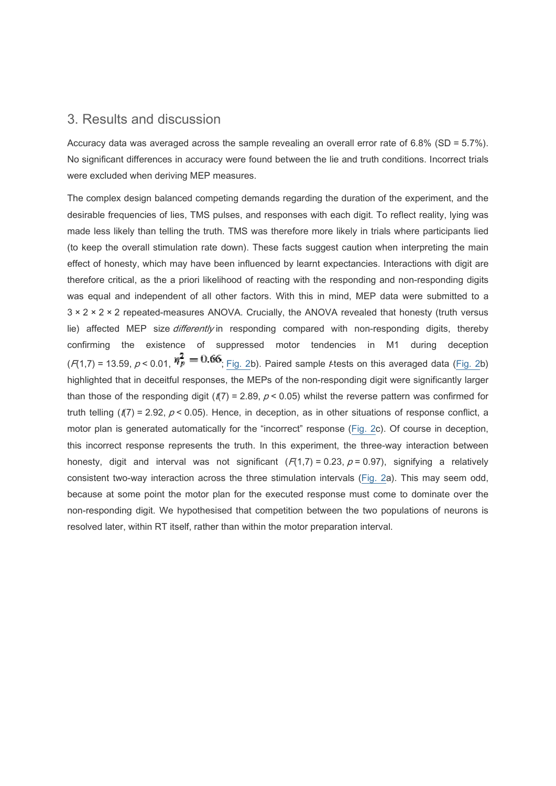# 3. Results and discussion

Accuracy data was averaged across the sample revealing an overall error rate of 6.8% (SD = 5.7%). No significant differences in accuracy were found between the lie and truth conditions. Incorrect trials were excluded when deriving MEP measures.

The complex design balanced competing demands regarding the duration of the experiment, and the desirable frequencies of lies, TMS pulses, and responses with each digit. To reflect reality, lying was made less likely than telling the truth. TMS was therefore more likely in trials where participants lied (to keep the overall stimulation rate down). These facts suggest caution when interpreting the main effect of honesty, which may have been influenced by learnt expectancies. Interactions with digit are therefore critical, as the a priori likelihood of reacting with the responding and non-responding digits was equal and independent of all other factors. With this in mind, MEP data were submitted to a  $3 \times 2 \times 2 \times 2$  repeated-measures ANOVA. Crucially, the ANOVA revealed that honesty (truth versus lie) affected MEP size *differently* in responding compared with non-responding digits, thereby confirming the existence of suppressed motor tendencies in M1 during deception (F(1,7) = 13.59,  $p < 0.01$ ,  $n_p^2 = 0.66$ , Fig. 2b). Paired sample *t*-tests on this averaged data (Fig. 2b) highlighted that in deceitful responses, the MEPs of the non-responding digit were significantly larger than those of the responding digit  $((7) = 2.89, p < 0.05)$  whilst the reverse pattern was confirmed for truth telling  $(17) = 2.92$ ,  $p < 0.05$ ). Hence, in deception, as in other situations of response conflict, a motor plan is generated automatically for the "incorrect" response (Fig. 2c). Of course in deception, this incorrect response represents the truth. In this experiment, the three-way interaction between honesty, digit and interval was not significant  $(F(1,7) = 0.23, p = 0.97)$ , signifying a relatively consistent two-way interaction across the three stimulation intervals (Fig. 2a). This may seem odd, because at some point the motor plan for the executed response must come to dominate over the non-responding digit. We hypothesised that competition between the two populations of neurons is resolved later, within RT itself, rather than within the motor preparation interval.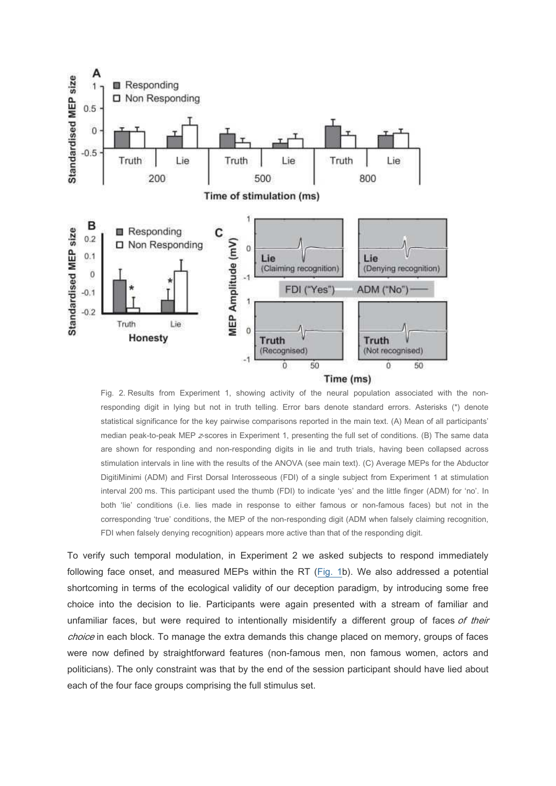

Fig. 2. Results from Experiment 1, showing activity of the neural population associated with the nonresponding digit in lying but not in truth telling. Error bars denote standard errors. Asterisks (\*) denote statistical significance for the key pairwise comparisons reported in the main text. (A) Mean of all participants' median peak-to-peak MEP z-scores in Experiment 1, presenting the full set of conditions. (B) The same data are shown for responding and non-responding digits in lie and truth trials, having been collapsed across stimulation intervals in line with the results of the ANOVA (see main text). (C) Average MEPs for the Abductor DigitiMinimi (ADM) and First Dorsal Interosseous (FDI) of a single subject from Experiment 1 at stimulation interval 200 ms. This participant used the thumb (FDI) to indicate 'yes' and the little finger (ADM) for 'no'. In both 'lie' conditions (i.e. lies made in response to either famous or non-famous faces) but not in the corresponding 'true' conditions, the MEP of the non-responding digit (ADM when falsely claiming recognition, FDI when falsely denying recognition) appears more active than that of the responding digit.

To verify such temporal modulation, in Experiment 2 we asked subjects to respond immediately following face onset, and measured MEPs within the RT (Fig. 1b). We also addressed a potential shortcoming in terms of the ecological validity of our deception paradigm, by introducing some free choice into the decision to lie. Participants were again presented with a stream of familiar and unfamiliar faces, but were required to intentionally misidentify a different group of faces of their choice in each block. To manage the extra demands this change placed on memory, groups of faces were now defined by straightforward features (non-famous men, non famous women, actors and politicians). The only constraint was that by the end of the session participant should have lied about each of the four face groups comprising the full stimulus set.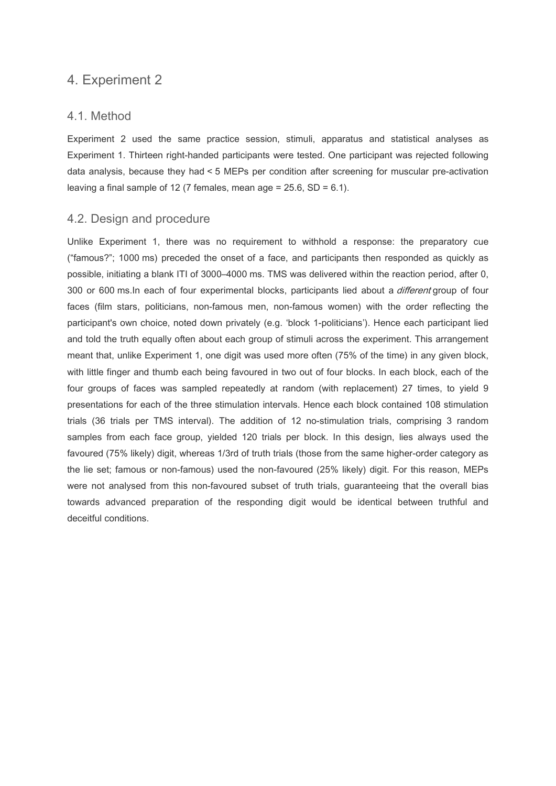# 4. Experiment 2

### 4.1. Method

Experiment 2 used the same practice session, stimuli, apparatus and statistical analyses as Experiment 1. Thirteen right-handed participants were tested. One participant was rejected following data analysis, because they had < 5 MEPs per condition after screening for muscular pre-activation leaving a final sample of 12 (7 females, mean age = 25.6, SD = 6.1).

## 4.2. Design and procedure

Unlike Experiment 1, there was no requirement to withhold a response: the preparatory cue ("famous?"; 1000 ms) preceded the onset of a face, and participants then responded as quickly as possible, initiating a blank ITI of 3000–4000 ms. TMS was delivered within the reaction period, after 0, 300 or 600 ms. In each of four experimental blocks, participants lied about a *different* group of four faces (film stars, politicians, non-famous men, non-famous women) with the order reflecting the participant's own choice, noted down privately (e.g. 'block 1-politicians'). Hence each participant lied and told the truth equally often about each group of stimuli across the experiment. This arrangement meant that, unlike Experiment 1, one digit was used more often (75% of the time) in any given block, with little finger and thumb each being favoured in two out of four blocks. In each block, each of the four groups of faces was sampled repeatedly at random (with replacement) 27 times, to yield 9 presentations for each of the three stimulation intervals. Hence each block contained 108 stimulation trials (36 trials per TMS interval). The addition of 12 no-stimulation trials, comprising 3 random samples from each face group, yielded 120 trials per block. In this design, lies always used the favoured (75% likely) digit, whereas 1/3rd of truth trials (those from the same higher-order category as the lie set; famous or non-famous) used the non-favoured (25% likely) digit. For this reason, MEPs were not analysed from this non-favoured subset of truth trials, guaranteeing that the overall bias towards advanced preparation of the responding digit would be identical between truthful and deceitful conditions.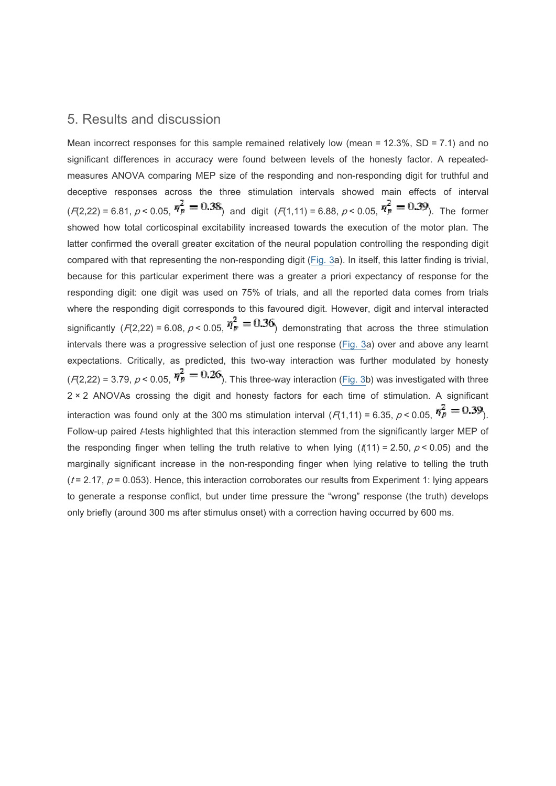# 5. Results and discussion

Mean incorrect responses for this sample remained relatively low (mean =  $12.3\%$ , SD =  $7.1$ ) and no significant differences in accuracy were found between levels of the honesty factor. A repeatedmeasures ANOVA comparing MEP size of the responding and non-responding digit for truthful and deceptive responses across the three stimulation intervals showed main effects of interval  $(F(7, 2, 22) = 6.81, p < 0.05, \eta^2 = 0.38$  and digit  $(F(1, 11) = 6.88, p < 0.05, \eta^2 = 0.39)$ . The former showed how total corticospinal excitability increased towards the execution of the motor plan. The latter confirmed the overall greater excitation of the neural population controlling the responding digit compared with that representing the non-responding digit (Fig. 3a). In itself, this latter finding is trivial, because for this particular experiment there was a greater a priori expectancy of response for the responding digit: one digit was used on 75% of trials, and all the reported data comes from trials where the responding digit corresponds to this favoured digit. However, digit and interval interacted significantly ( $F(2,22) = 6.08$ ,  $p < 0.05$ ,  $n_p^2 = 0.36$ ) demonstrating that across the three stimulation intervals there was a progressive selection of just one response (Fig. 3a) over and above any learnt expectations. Critically, as predicted, this two-way interaction was further modulated by honesty (F(2,22) = 3.79,  $p < 0.05$ ,  $\eta_p^2 = 0.26$ ). This three-way interaction (Fig. 3b) was investigated with three 2 × 2 ANOVAs crossing the digit and honesty factors for each time of stimulation. A significant interaction was found only at the 300 ms stimulation interval  $(F(1,11) = 6.35, p < 0.05, \eta_P^2 = 0.39)$ . Follow-up paired *t*-tests highlighted that this interaction stemmed from the significantly larger MEP of the responding finger when telling the truth relative to when lying ( $\ell(11) = 2.50$ ,  $\rho < 0.05$ ) and the marginally significant increase in the non-responding finger when lying relative to telling the truth ( $t = 2.17$ ,  $p = 0.053$ ). Hence, this interaction corroborates our results from Experiment 1: lying appears to generate a response conflict, but under time pressure the "wrong" response (the truth) develops only briefly (around 300 ms after stimulus onset) with a correction having occurred by 600 ms.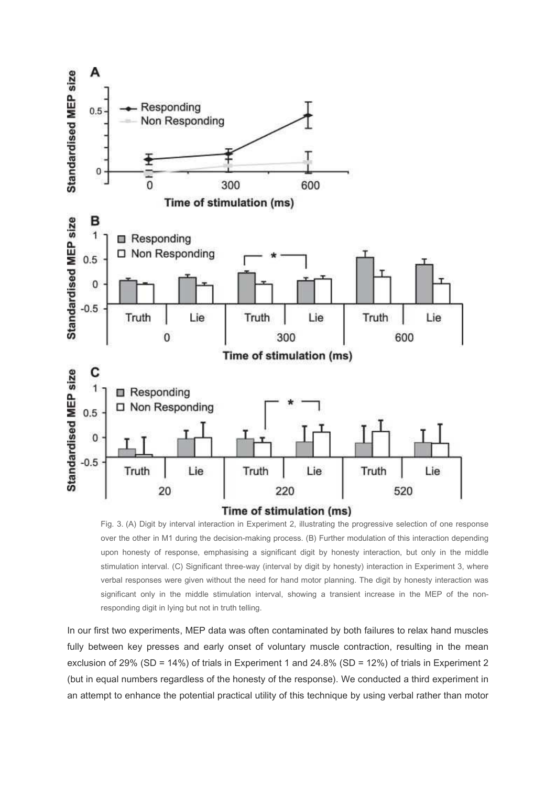



Fig. 3. (A) Digit by interval interaction in Experiment 2, illustrating the progressive selection of one response over the other in M1 during the decision-making process. (B) Further modulation of this interaction depending upon honesty of response, emphasising a significant digit by honesty interaction, but only in the middle stimulation interval. (C) Significant three-way (interval by digit by honesty) interaction in Experiment 3, where verbal responses were given without the need for hand motor planning. The digit by honesty interaction was significant only in the middle stimulation interval, showing a transient increase in the MEP of the nonresponding digit in lying but not in truth telling.

In our first two experiments, MEP data was often contaminated by both failures to relax hand muscles fully between key presses and early onset of voluntary muscle contraction, resulting in the mean exclusion of 29% (SD = 14%) of trials in Experiment 1 and 24.8% (SD = 12%) of trials in Experiment 2 (but in equal numbers regardless of the honesty of the response). We conducted a third experiment in an attempt to enhance the potential practical utility of this technique by using verbal rather than motor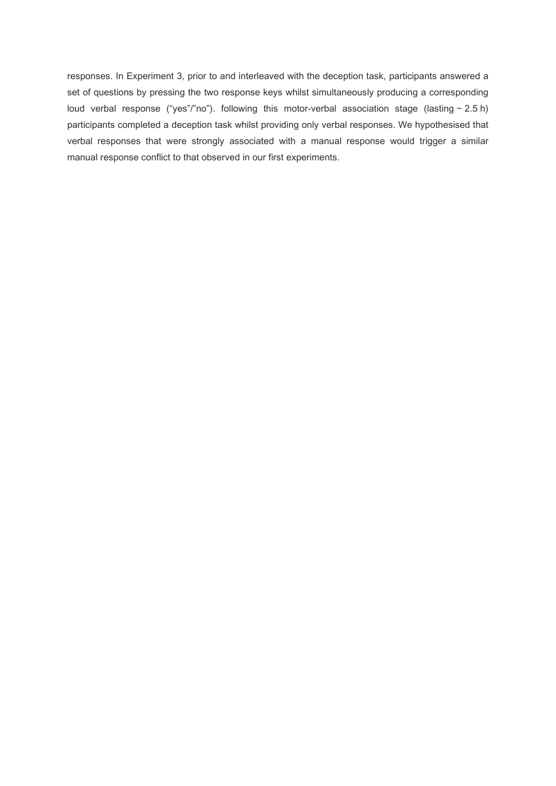responses. In Experiment 3, prior to and interleaved with the deception task, participants answered a set of questions by pressing the two response keys whilst simultaneously producing a corresponding loud verbal response ("yes"/"no"). following this motor-verbal association stage (lasting ~ 2.5 h) participants completed a deception task whilst providing only verbal responses. We hypothesised that verbal responses that were strongly associated with a manual response would trigger a similar manual response conflict to that observed in our first experiments.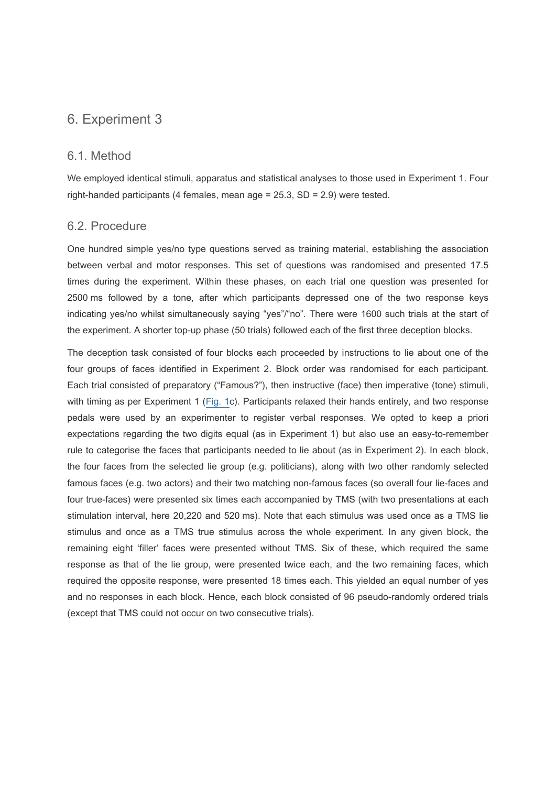# 6. Experiment 3

### 6.1. Method

We employed identical stimuli, apparatus and statistical analyses to those used in Experiment 1. Four right-handed participants (4 females, mean age = 25.3, SD = 2.9) were tested.

#### 6.2. Procedure

One hundred simple yes/no type questions served as training material, establishing the association between verbal and motor responses. This set of questions was randomised and presented 17.5 times during the experiment. Within these phases, on each trial one question was presented for 2500 ms followed by a tone, after which participants depressed one of the two response keys indicating yes/no whilst simultaneously saying "yes"/"no". There were 1600 such trials at the start of the experiment. A shorter top-up phase (50 trials) followed each of the first three deception blocks.

The deception task consisted of four blocks each proceeded by instructions to lie about one of the four groups of faces identified in Experiment 2. Block order was randomised for each participant. Each trial consisted of preparatory ("Famous?"), then instructive (face) then imperative (tone) stimuli, with timing as per Experiment 1 (Fig. 1c). Participants relaxed their hands entirely, and two response pedals were used by an experimenter to register verbal responses. We opted to keep a priori expectations regarding the two digits equal (as in Experiment 1) but also use an easy-to-remember rule to categorise the faces that participants needed to lie about (as in Experiment 2). In each block, the four faces from the selected lie group (e.g. politicians), along with two other randomly selected famous faces (e.g. two actors) and their two matching non-famous faces (so overall four lie-faces and four true-faces) were presented six times each accompanied by TMS (with two presentations at each stimulation interval, here 20,220 and 520 ms). Note that each stimulus was used once as a TMS lie stimulus and once as a TMS true stimulus across the whole experiment. In any given block, the remaining eight 'filler' faces were presented without TMS. Six of these, which required the same response as that of the lie group, were presented twice each, and the two remaining faces, which required the opposite response, were presented 18 times each. This yielded an equal number of yes and no responses in each block. Hence, each block consisted of 96 pseudo-randomly ordered trials (except that TMS could not occur on two consecutive trials).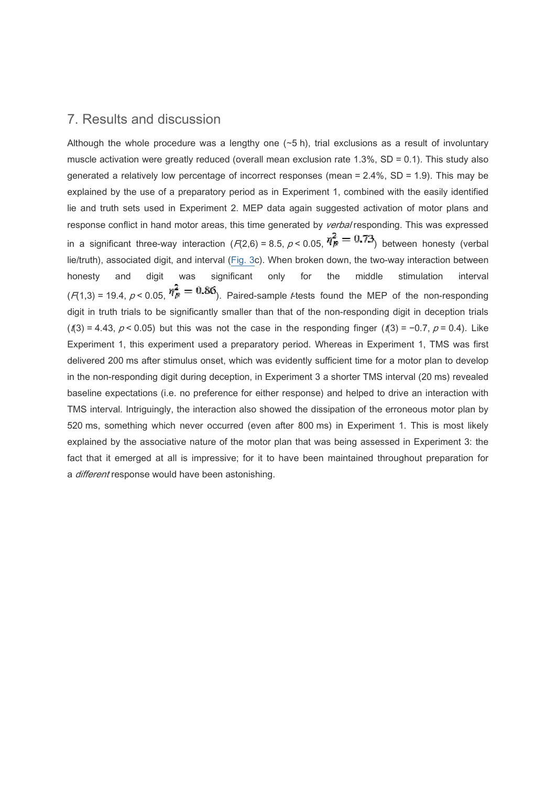# 7. Results and discussion

Although the whole procedure was a lengthy one (∼5 h), trial exclusions as a result of involuntary muscle activation were greatly reduced (overall mean exclusion rate 1.3%, SD = 0.1). This study also generated a relatively low percentage of incorrect responses (mean = 2.4%, SD = 1.9). This may be explained by the use of a preparatory period as in Experiment 1, combined with the easily identified lie and truth sets used in Experiment 2. MEP data again suggested activation of motor plans and response conflict in hand motor areas, this time generated by verbal responding. This was expressed in a significant three-way interaction ( $F(2,6)$  = 8.5,  $\rho$  < 0.05,  $n^2 = 0.73$ ) between honesty (verbal lie/truth), associated digit, and interval (Fig. 3c). When broken down, the two-way interaction between honesty and digit was significant only for the middle stimulation interval (F(1,3) = 19.4,  $p < 0.05$ ,  $n_P^2 = 0.86$ ). Paired-sample *t*-tests found the MEP of the non-responding digit in truth trials to be significantly smaller than that of the non-responding digit in deception trials  $(t(3) = 4.43, p < 0.05)$  but this was not the case in the responding finger  $(t(3) = -0.7, p = 0.4)$ . Like Experiment 1, this experiment used a preparatory period. Whereas in Experiment 1, TMS was first delivered 200 ms after stimulus onset, which was evidently sufficient time for a motor plan to develop in the non-responding digit during deception, in Experiment 3 a shorter TMS interval (20 ms) revealed baseline expectations (i.e. no preference for either response) and helped to drive an interaction with TMS interval. Intriguingly, the interaction also showed the dissipation of the erroneous motor plan by 520 ms, something which never occurred (even after 800 ms) in Experiment 1. This is most likely explained by the associative nature of the motor plan that was being assessed in Experiment 3: the fact that it emerged at all is impressive; for it to have been maintained throughout preparation for a *different* response would have been astonishing.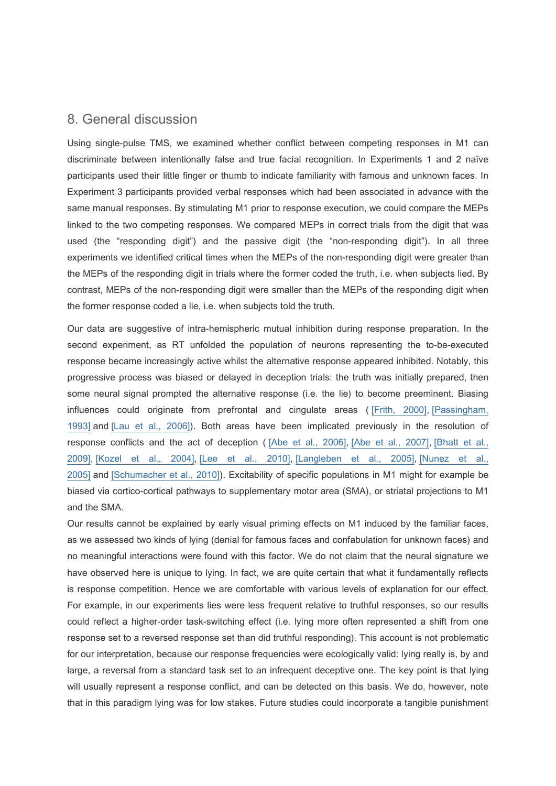# 8. General discussion

Using single-pulse TMS, we examined whether conflict between competing responses in M1 can discriminate between intentionally false and true facial recognition. In Experiments 1 and 2 naïve participants used their little finger or thumb to indicate familiarity with famous and unknown faces. In Experiment 3 participants provided verbal responses which had been associated in advance with the same manual responses. By stimulating M1 prior to response execution, we could compare the MEPs linked to the two competing responses. We compared MEPs in correct trials from the digit that was used (the "responding digit") and the passive digit (the "non-responding digit"). In all three experiments we identified critical times when the MEPs of the non-responding digit were greater than the MEPs of the responding digit in trials where the former coded the truth, i.e. when subjects lied. By contrast, MEPs of the non-responding digit were smaller than the MEPs of the responding digit when the former response coded a lie, i.e. when subjects told the truth.

Our data are suggestive of intra-hemispheric mutual inhibition during response preparation. In the second experiment, as RT unfolded the population of neurons representing the to-be-executed response became increasingly active whilst the alternative response appeared inhibited. Notably, this progressive process was biased or delayed in deception trials: the truth was initially prepared, then some neural signal prompted the alternative response (i.e. the lie) to become preeminent. Biasing influences could originate from prefrontal and cingulate areas ( [Frith, 2000], [Passingham, 1993] and [Lau et al., 2006]). Both areas have been implicated previously in the resolution of response conflicts and the act of deception ( [Abe et al., 2006], [Abe et al., 2007], [Bhatt et al., 2009], [Kozel et al., 2004], [Lee et al., 2010], [Langleben et al., 2005], [Nunez et al., 2005] and [Schumacher et al., 2010]). Excitability of specific populations in M1 might for example be biased via cortico-cortical pathways to supplementary motor area (SMA), or striatal projections to M1 and the SMA.

Our results cannot be explained by early visual priming effects on M1 induced by the familiar faces, as we assessed two kinds of lying (denial for famous faces and confabulation for unknown faces) and no meaningful interactions were found with this factor. We do not claim that the neural signature we have observed here is unique to lying. In fact, we are quite certain that what it fundamentally reflects is response competition. Hence we are comfortable with various levels of explanation for our effect. For example, in our experiments lies were less frequent relative to truthful responses, so our results could reflect a higher-order task-switching effect (i.e. lying more often represented a shift from one response set to a reversed response set than did truthful responding). This account is not problematic for our interpretation, because our response frequencies were ecologically valid: lying really is, by and large, a reversal from a standard task set to an infrequent deceptive one. The key point is that lying will usually represent a response conflict, and can be detected on this basis. We do, however, note that in this paradigm lying was for low stakes. Future studies could incorporate a tangible punishment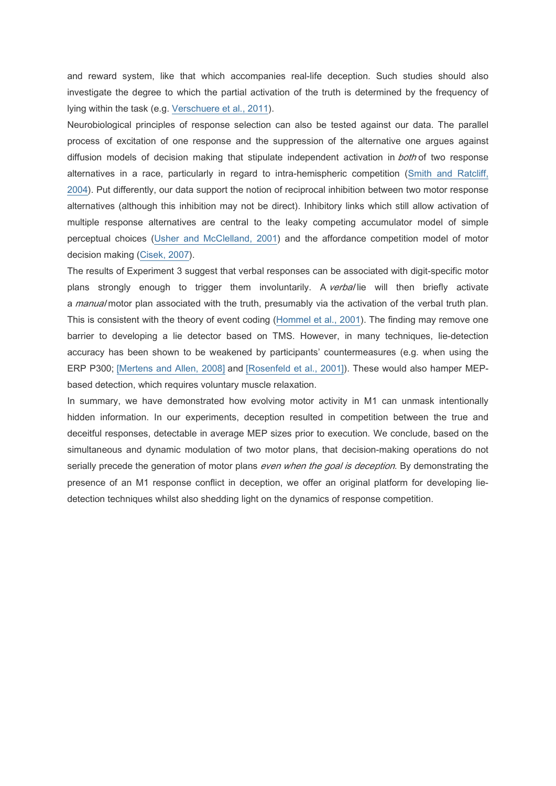and reward system, like that which accompanies real-life deception. Such studies should also investigate the degree to which the partial activation of the truth is determined by the frequency of lying within the task (e.g. Verschuere et al., 2011).

Neurobiological principles of response selection can also be tested against our data. The parallel process of excitation of one response and the suppression of the alternative one argues against diffusion models of decision making that stipulate independent activation in both of two response alternatives in a race, particularly in regard to intra-hemispheric competition (Smith and Ratcliff, 2004). Put differently, our data support the notion of reciprocal inhibition between two motor response alternatives (although this inhibition may not be direct). Inhibitory links which still allow activation of multiple response alternatives are central to the leaky competing accumulator model of simple perceptual choices (Usher and McClelland, 2001) and the affordance competition model of motor decision making (Cisek, 2007).

The results of Experiment 3 suggest that verbal responses can be associated with digit-specific motor plans strongly enough to trigger them involuntarily. A verballie will then briefly activate a *manual* motor plan associated with the truth, presumably via the activation of the verbal truth plan. This is consistent with the theory of event coding (Hommel et al., 2001). The finding may remove one barrier to developing a lie detector based on TMS. However, in many techniques, lie-detection accuracy has been shown to be weakened by participants' countermeasures (e.g. when using the ERP P300; [Mertens and Allen, 2008] and [Rosenfeld et al., 2001]). These would also hamper MEPbased detection, which requires voluntary muscle relaxation.

In summary, we have demonstrated how evolving motor activity in M1 can unmask intentionally hidden information. In our experiments, deception resulted in competition between the true and deceitful responses, detectable in average MEP sizes prior to execution. We conclude, based on the simultaneous and dynamic modulation of two motor plans, that decision-making operations do not serially precede the generation of motor plans *even when the goal is deception*. By demonstrating the presence of an M1 response conflict in deception, we offer an original platform for developing liedetection techniques whilst also shedding light on the dynamics of response competition.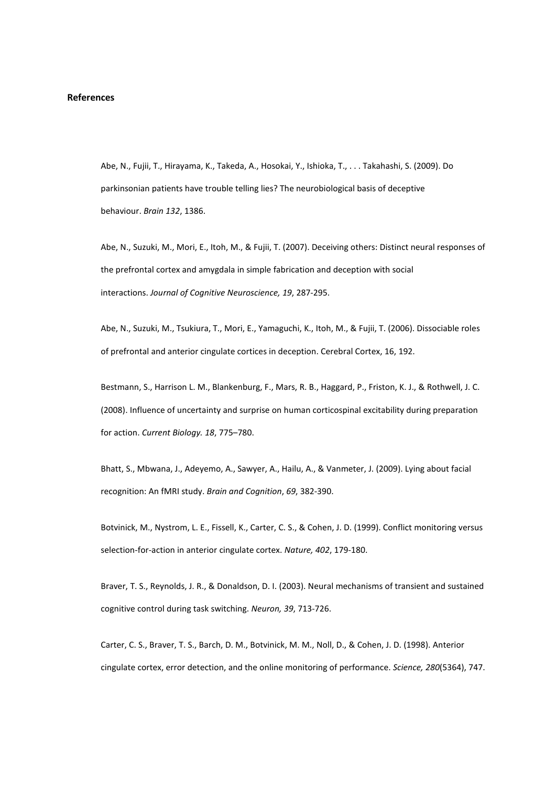#### **References**

Abe, N., Fujii, T., Hirayama, K., Takeda, A., Hosokai, Y., Ishioka, T., . . . Takahashi, S. (2009). Do parkinsonian patients have trouble telling lies? The neurobiological basis of deceptive behaviour. *Brain 132*, 1386.

Abe, N., Suzuki, M., Mori, E., Itoh, M., & Fujii, T. (2007). Deceiving others: Distinct neural responses of the prefrontal cortex and amygdala in simple fabrication and deception with social interactions. *Journal of Cognitive Neuroscience, 19*, 287-295.

Abe, N., Suzuki, M., Tsukiura, T., Mori, E., Yamaguchi, K., Itoh, M., & Fujii, T. (2006). Dissociable roles of prefrontal and anterior cingulate cortices in deception. Cerebral Cortex, 16, 192.

Bestmann, S., Harrison L. M., Blankenburg, F., Mars, R. B., Haggard, P., Friston, K. J., & Rothwell, J. C. (2008). Influence of uncertainty and surprise on human corticospinal excitability during preparation for action. *Current Biology. 18*, 775–780.

Bhatt, S., Mbwana, J., Adeyemo, A., Sawyer, A., Hailu, A., & Vanmeter, J. (2009). Lying about facial recognition: An fMRI study. *Brain and Cognition*, *69*, 382-390.

Botvinick, M., Nystrom, L. E., Fissell, K., Carter, C. S., & Cohen, J. D. (1999). Conflict monitoring versus selection-for-action in anterior cingulate cortex. *Nature, 402*, 179-180.

Braver, T. S., Reynolds, J. R., & Donaldson, D. I. (2003). Neural mechanisms of transient and sustained cognitive control during task switching. *Neuron, 39*, 713-726.

Carter, C. S., Braver, T. S., Barch, D. M., Botvinick, M. M., Noll, D., & Cohen, J. D. (1998). Anterior cingulate cortex, error detection, and the online monitoring of performance. *Science, 280*(5364), 747.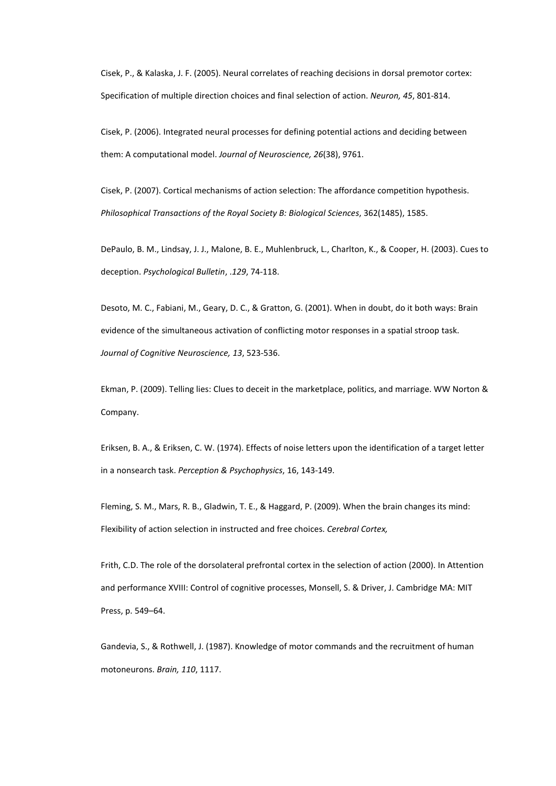Cisek, P., & Kalaska, J. F. (2005). Neural correlates of reaching decisions in dorsal premotor cortex: Specification of multiple direction choices and final selection of action. *Neuron, 45*, 801-814.

Cisek, P. (2006). Integrated neural processes for defining potential actions and deciding between them: A computational model. *Journal of Neuroscience, 26*(38), 9761.

Cisek, P. (2007). Cortical mechanisms of action selection: The affordance competition hypothesis. *Philosophical Transactions of the Royal Society B: Biological Sciences*, 362(1485), 1585.

DePaulo, B. M., Lindsay, J. J., Malone, B. E., Muhlenbruck, L., Charlton, K., & Cooper, H. (2003). Cues to deception. *Psychological Bulletin*, .*129*, 74-118.

Desoto, M. C., Fabiani, M., Geary, D. C., & Gratton, G. (2001). When in doubt, do it both ways: Brain evidence of the simultaneous activation of conflicting motor responses in a spatial stroop task. *Journal of Cognitive Neuroscience, 13*, 523-536.

Ekman, P. (2009). Telling lies: Clues to deceit in the marketplace, politics, and marriage. WW Norton & Company.

Eriksen, B. A., & Eriksen, C. W. (1974). Effects of noise letters upon the identification of a target letter in a nonsearch task. *Perception & Psychophysics*, 16, 143-149.

Fleming, S. M., Mars, R. B., Gladwin, T. E., & Haggard, P. (2009). When the brain changes its mind: Flexibility of action selection in instructed and free choices. *Cerebral Cortex,*

Frith, C.D. The role of the dorsolateral prefrontal cortex in the selection of action (2000). In Attention and performance XVIII: Control of cognitive processes, Monsell, S. & Driver, J. Cambridge MA: MIT Press, p. 549–64.

Gandevia, S., & Rothwell, J. (1987). Knowledge of motor commands and the recruitment of human motoneurons. *Brain, 110*, 1117.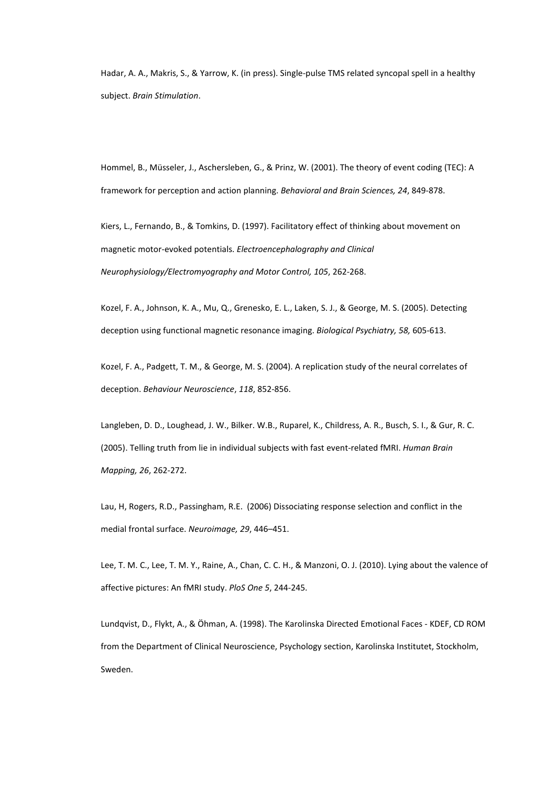Hadar, A. A., Makris, S., & Yarrow, K. (in press). Single-pulse TMS related syncopal spell in a healthy subject. *Brain Stimulation*.

Hommel, B., Müsseler, J., Aschersleben, G., & Prinz, W. (2001). The theory of event coding (TEC): A framework for perception and action planning. *Behavioral and Brain Sciences, 24*, 849-878.

Kiers, L., Fernando, B., & Tomkins, D. (1997). Facilitatory effect of thinking about movement on magnetic motor-evoked potentials. *Electroencephalography and Clinical Neurophysiology/Electromyography and Motor Control, 105*, 262-268.

Kozel, F. A., Johnson, K. A., Mu, Q., Grenesko, E. L., Laken, S. J., & George, M. S. (2005). Detecting deception using functional magnetic resonance imaging. *Biological Psychiatry, 58,* 605-613.

Kozel, F. A., Padgett, T. M., & George, M. S. (2004). A replication study of the neural correlates of deception. *Behaviour Neuroscience*, *118*, 852-856.

Langleben, D. D., Loughead, J. W., Bilker. W.B., Ruparel, K., Childress, A. R., Busch, S. I., & Gur, R. C. (2005). Telling truth from lie in individual subjects with fast event-related fMRI. *Human Brain Mapping, 26*, 262-272.

Lau, H, Rogers, R.D., Passingham, R.E. (2006) Dissociating response selection and conflict in the medial frontal surface. *Neuroimage, 29*, 446–451.

Lee, T. M. C., Lee, T. M. Y., Raine, A., Chan, C. C. H., & Manzoni, O. J. (2010). Lying about the valence of affective pictures: An fMRI study. *PloS One 5*, 244-245.

Lundqvist, D., Flykt, A., & Öhman, A. (1998). The Karolinska Directed Emotional Faces - KDEF, CD ROM from the Department of Clinical Neuroscience, Psychology section, Karolinska Institutet, Stockholm, Sweden.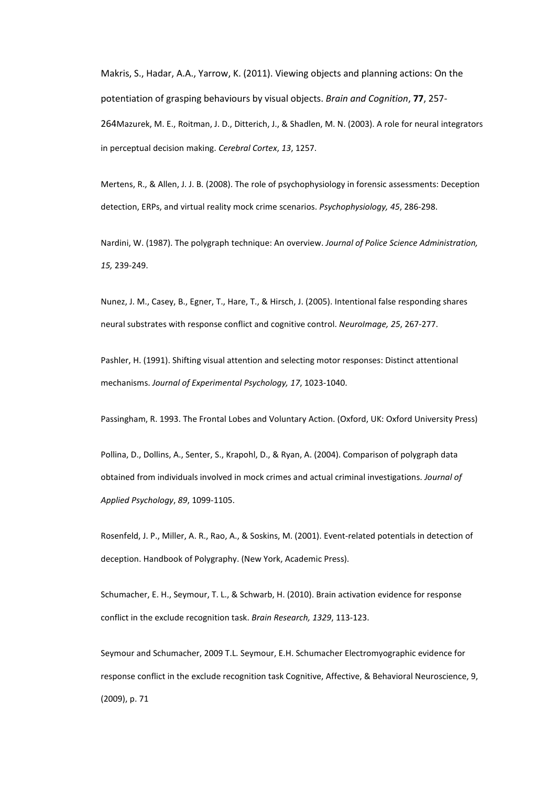Makris, S., Hadar, A.A., Yarrow, K. (2011). Viewing objects and planning actions: On the potentiation of grasping behaviours by visual objects. *Brain and Cognition*, **77**, 257- 264Mazurek, M. E., Roitman, J. D., Ditterich, J., & Shadlen, M. N. (2003). A role for neural integrators in perceptual decision making. *Cerebral Cortex*, *13*, 1257.

Mertens, R., & Allen, J. J. B. (2008). The role of psychophysiology in forensic assessments: Deception detection, ERPs, and virtual reality mock crime scenarios. *Psychophysiology, 45*, 286-298.

Nardini, W. (1987). The polygraph technique: An overview. *Journal of Police Science Administration, 15,* 239-249.

Nunez, J. M., Casey, B., Egner, T., Hare, T., & Hirsch, J. (2005). Intentional false responding shares neural substrates with response conflict and cognitive control. *NeuroImage, 25*, 267-277.

Pashler, H. (1991). Shifting visual attention and selecting motor responses: Distinct attentional mechanisms. *Journal of Experimental Psychology, 17*, 1023-1040.

Passingham, R. 1993. The Frontal Lobes and Voluntary Action. (Oxford, UK: Oxford University Press)

Pollina, D., Dollins, A., Senter, S., Krapohl, D., & Ryan, A. (2004). Comparison of polygraph data obtained from individuals involved in mock crimes and actual criminal investigations. *Journal of Applied Psychology*, *89*, 1099-1105.

Rosenfeld, J. P., Miller, A. R., Rao, A., & Soskins, M. (2001). Event-related potentials in detection of deception. Handbook of Polygraphy. (New York, Academic Press).

Schumacher, E. H., Seymour, T. L., & Schwarb, H. (2010). Brain activation evidence for response conflict in the exclude recognition task. *Brain Research, 1329*, 113-123.

Seymour and Schumacher, 2009 T.L. Seymour, E.H. Schumacher Electromyographic evidence for response conflict in the exclude recognition task Cognitive, Affective, & Behavioral Neuroscience, 9, (2009), p. 71